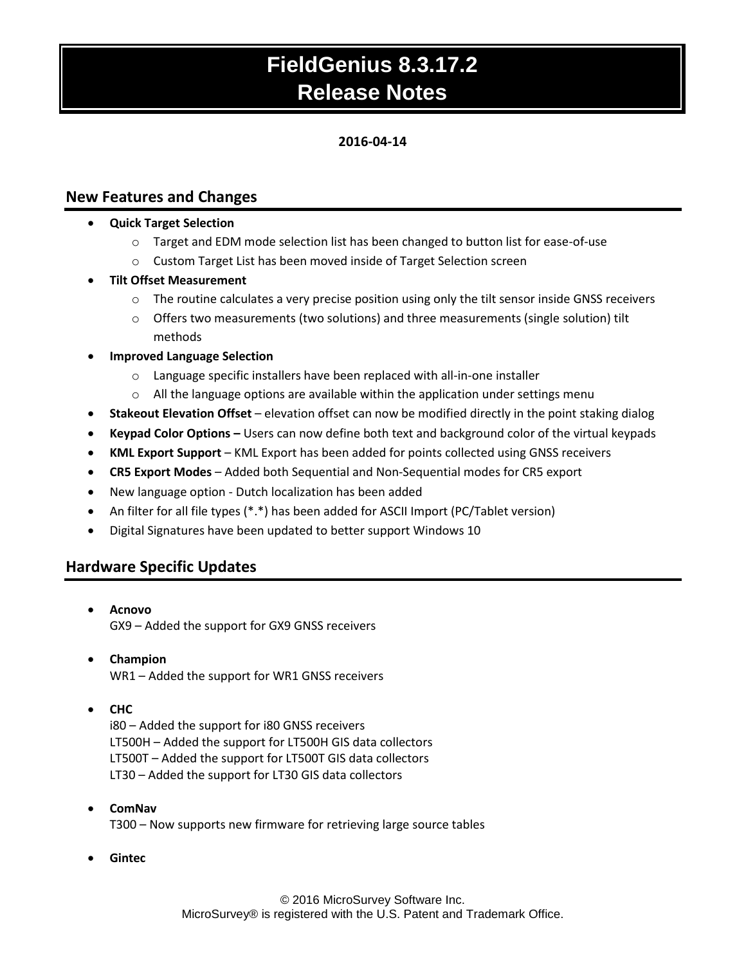# **FieldGenius 8.3.17.2 Release Notes**

## **2016-04-14**

## **New Features and Changes**

- **Quick Target Selection**
	- $\circ$  Target and EDM mode selection list has been changed to button list for ease-of-use
	- o Custom Target List has been moved inside of Target Selection screen
- **Tilt Offset Measurement**
	- $\circ$  The routine calculates a very precise position using only the tilt sensor inside GNSS receivers
	- $\circ$  Offers two measurements (two solutions) and three measurements (single solution) tilt methods
- **Improved Language Selection**
	- o Language specific installers have been replaced with all-in-one installer
	- $\circ$  All the language options are available within the application under settings menu
- **Stakeout Elevation Offset** elevation offset can now be modified directly in the point staking dialog
- **Keypad Color Options –** Users can now define both text and background color of the virtual keypads
- **KML Export Support** KML Export has been added for points collected using GNSS receivers
- **CR5 Export Modes**  Added both Sequential and Non-Sequential modes for CR5 export
- New language option Dutch localization has been added
- An filter for all file types (\*.\*) has been added for ASCII Import (PC/Tablet version)
- Digital Signatures have been updated to better support Windows 10

# **Hardware Specific Updates**

- **Acnovo** GX9 – Added the support for GX9 GNSS receivers
- **Champion** WR1 – Added the support for WR1 GNSS receivers
- **CHC**

i80 – Added the support for i80 GNSS receivers LT500H – Added the support for LT500H GIS data collectors LT500T – Added the support for LT500T GIS data collectors LT30 – Added the support for LT30 GIS data collectors

**ComNav**

T300 – Now supports new firmware for retrieving large source tables

**Gintec**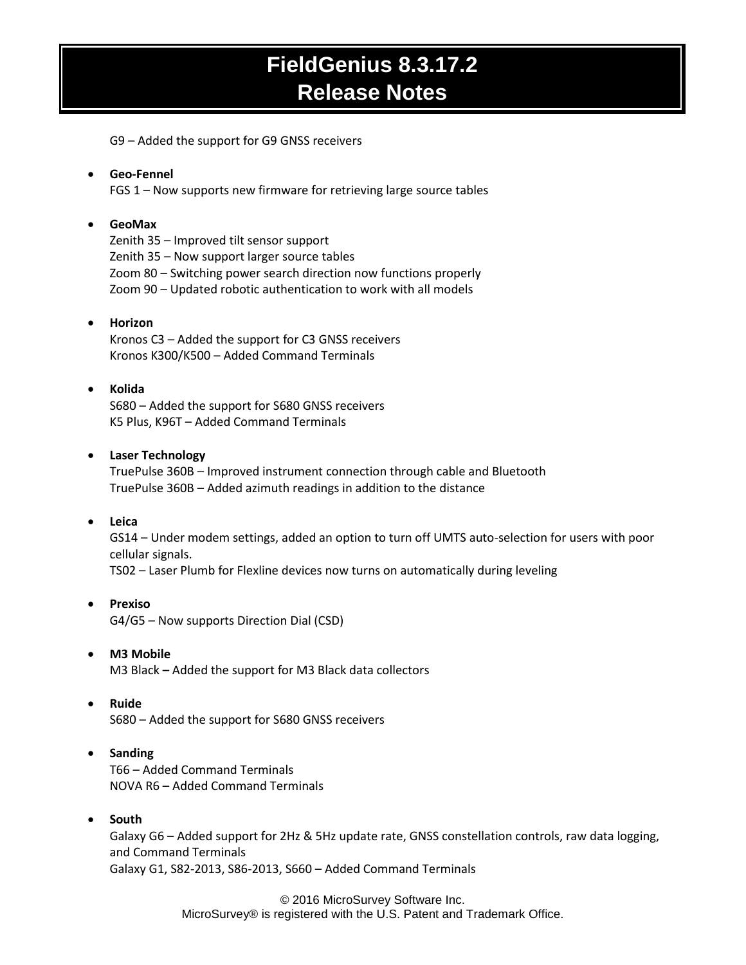# **FieldGenius 8.3.17.2 Release Notes**

G9 – Added the support for G9 GNSS receivers

## **Geo-Fennel**

FGS 1 – Now supports new firmware for retrieving large source tables

#### **GeoMax**

Zenith 35 – Improved tilt sensor support Zenith 35 – Now support larger source tables Zoom 80 – Switching power search direction now functions properly Zoom 90 – Updated robotic authentication to work with all models

## **Horizon**

Kronos C3 – Added the support for C3 GNSS receivers Kronos K300/K500 – Added Command Terminals

### **Kolida**

S680 – Added the support for S680 GNSS receivers K5 Plus, K96T – Added Command Terminals

### **Laser Technology**

TruePulse 360B – Improved instrument connection through cable and Bluetooth TruePulse 360B – Added azimuth readings in addition to the distance

#### **Leica**

GS14 – Under modem settings, added an option to turn off UMTS auto-selection for users with poor cellular signals.

TS02 – Laser Plumb for Flexline devices now turns on automatically during leveling

### **Prexiso** G4/G5 – Now supports Direction Dial (CSD)

#### **M3 Mobile**

M3 Black **–** Added the support for M3 Black data collectors

#### **Ruide**

S680 – Added the support for S680 GNSS receivers

## **•** Sanding

T66 – Added Command Terminals NOVA R6 – Added Command Terminals

#### **South**

Galaxy G6 – Added support for 2Hz & 5Hz update rate, GNSS constellation controls, raw data logging, and Command Terminals Galaxy G1, S82-2013, S86-2013, S660 – Added Command Terminals